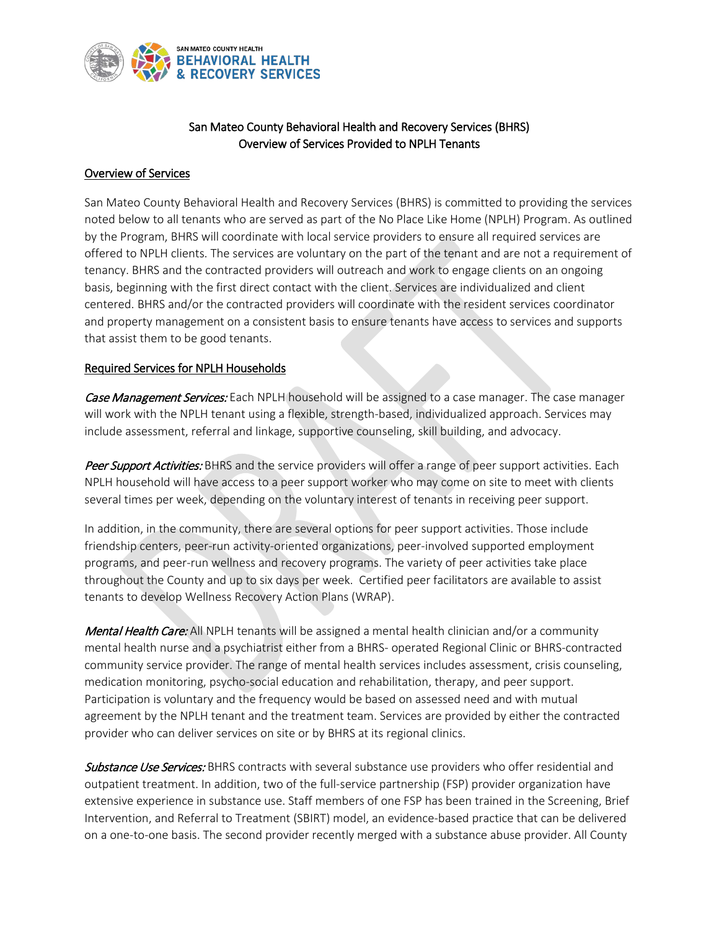

## San Mateo County Behavioral Health and Recovery Services (BHRS) Overview of Services Provided to NPLH Tenants

## Overview of Services

San Mateo County Behavioral Health and Recovery Services (BHRS) is committed to providing the services noted below to all tenants who are served as part of the No Place Like Home (NPLH) Program. As outlined by the Program, BHRS will coordinate with local service providers to ensure all required services are offered to NPLH clients. The services are voluntary on the part of the tenant and are not a requirement of tenancy. BHRS and the contracted providers will outreach and work to engage clients on an ongoing basis, beginning with the first direct contact with the client. Services are individualized and client centered. BHRS and/or the contracted providers will coordinate with the resident services coordinator and property management on a consistent basis to ensure tenants have access to services and supports that assist them to be good tenants.

## Required Services for NPLH Households

Case Management Services: Each NPLH household will be assigned to a case manager. The case manager will work with the NPLH tenant using a flexible, strength-based, individualized approach. Services may include assessment, referral and linkage, supportive counseling, skill building, and advocacy.

Peer Support Activities: BHRS and the service providers will offer a range of peer support activities. Each NPLH household will have access to a peer support worker who may come on site to meet with clients several times per week, depending on the voluntary interest of tenants in receiving peer support.

In addition, in the community, there are several options for peer support activities. Those include friendship centers, peer-run activity-oriented organizations, peer-involved supported employment programs, and peer-run wellness and recovery programs. The variety of peer activities take place throughout the County and up to six days per week. Certified peer facilitators are available to assist tenants to develop Wellness Recovery Action Plans (WRAP).

Mental Health Care: All NPLH tenants will be assigned a mental health clinician and/or a community mental health nurse and a psychiatrist either from a BHRS- operated Regional Clinic or BHRS-contracted community service provider. The range of mental health services includes assessment, crisis counseling, medication monitoring, psycho-social education and rehabilitation, therapy, and peer support. Participation is voluntary and the frequency would be based on assessed need and with mutual agreement by the NPLH tenant and the treatment team. Services are provided by either the contracted provider who can deliver services on site or by BHRS at its regional clinics.

Substance Use Services: BHRS contracts with several substance use providers who offer residential and outpatient treatment. In addition, two of the full-service partnership (FSP) provider organization have extensive experience in substance use. Staff members of one FSP has been trained in the Screening, Brief Intervention, and Referral to Treatment (SBIRT) model, an evidence-based practice that can be delivered on a one-to-one basis. The second provider recently merged with a substance abuse provider. All County